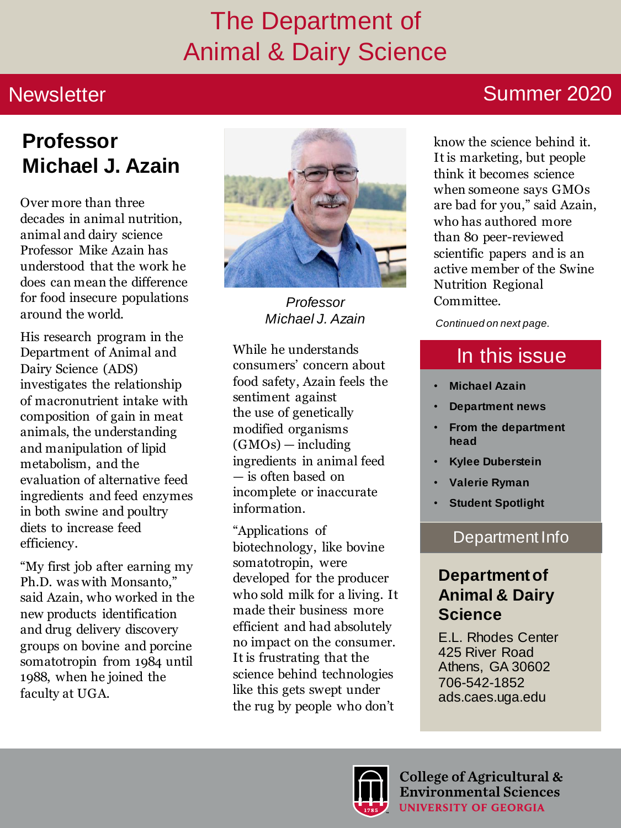### The Department of Animal & Dairy Science

#### **Newsletter**

#### Summer 2020

### **Professor Michael J. Azain**

Over more than three decades in animal nutrition, animal and dairy science Professor Mike Azain has understood that the work he does can mean the difference for food insecure populations around the world.

His research program in the Department of Animal and Dairy Science (ADS) investigates the relationship of macronutrient intake with composition of gain in meat animals, the understanding and manipulation of lipid metabolism, and the evaluation of alternative feed ingredients and feed enzymes in both swine and poultry diets to increase feed efficiency.

"My first job after earning my Ph.D. was with Monsanto," said Azain, who worked in the new products identification and drug delivery discovery groups on bovine and porcine somatotropin from 1984 until 1988, when he joined the faculty at UGA.



**Professor Committee.** *Michael J. Azain*

While he understands consumers' concern about food safety, Azain feels the sentiment against the use of genetically modified organisms (GMOs) — including ingredients in animal feed — is often based on incomplete or inaccurate information.

"Applications of biotechnology, like bovine somatotropin, were developed for the producer who sold milk for a living. It made their business more efficient and had absolutely no impact on the consumer. It is frustrating that the science behind technologies like this gets swept under the rug by people who don't

know the science behind it. It is marketing, but people think it becomes science when someone says GMOs are bad for you," said Azain, who has authored more than 80 peer-reviewed scientific papers and is an active member of the Swine Nutrition Regional

*Continued on next page.* 

### In this issue

- **Michael Azain**
- **Department news**
- **From the department head**
- **Kylee Duberstein**
- **Valerie Ryman**
- **Student Spotlight**

#### Department Info

#### **Department of Animal & Dairy Science**

E.L. Rhodes Center 425 River Road Athens, GA 30602 706-542-1852 ads.caes.uga.edu



College of Agricultural & **Environmental Sciences UNIVERSITY OF GEORGIA**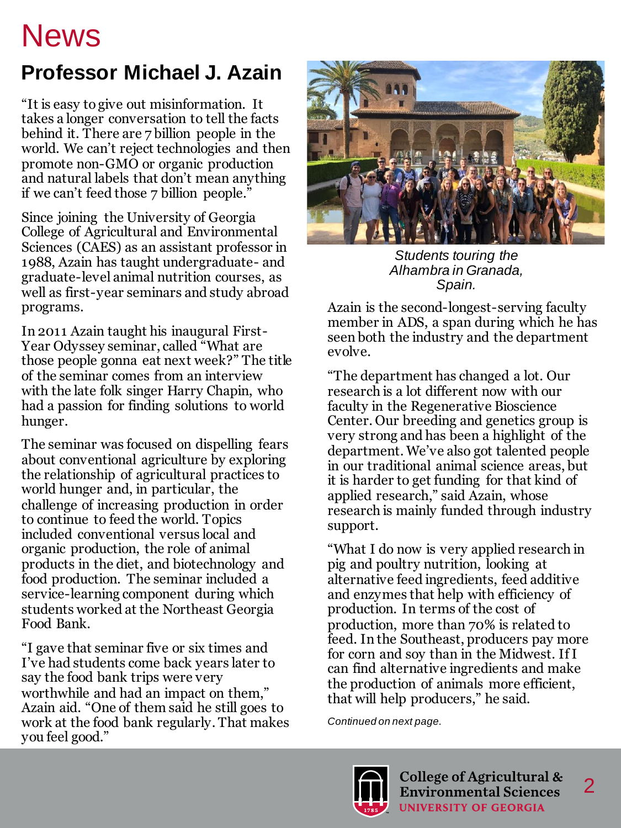### **Professor Michael J. Azain**

"It is easy to give out misinformation. It takes a longer conversation to tell the facts behind it. There are 7 billion people in the world. We can't reject technologies and then promote non-GMO or organic production and natural labels that don't mean anything if we can't feed those 7 billion people."

Since joining the University of Georgia College of Agricultural and Environmental Sciences (CAES) as an assistant professor in 1988, Azain has taught undergraduate- and graduate-level animal nutrition courses, as well as first-year seminars and study abroad programs.

In 2011 Azain taught his inaugural First-Year Odyssey seminar, called "What are those people gonna eat next week?" The title of the seminar comes from an interview with the late folk singer Harry Chapin, who had a passion for finding solutions to world hunger.

The seminar was focused on dispelling fears about conventional agriculture by exploring the relationship of agricultural practices to world hunger and, in particular, the challenge of increasing production in order to continue to feed the world. Topics included conventional versus local and organic production, the role of animal products in the diet, and biotechnology and food production. The seminar included a service-learning component during which students worked at the Northeast Georgia Food Bank.

"I gave that seminar five or six times and I've had students come back years later to say the food bank trips were very worthwhile and had an impact on them," Azain aid. "One of them said he still goes to work at the food bank regularly. That makes you feel good."



*Students touring the Alhambra in Granada, Spain.*

Azain is the second-longest-serving faculty member in ADS, a span during which he has seen both the industry and the department evolve.

"The department has changed a lot. Our research is a lot different now with our faculty in the Regenerative Bioscience Center. Our breeding and genetics group is very strong and has been a highlight of the department. We've also got talented people in our traditional animal science areas, but it is harder to get funding for that kind of applied research," said Azain, whose research is mainly funded through industry support.

"What I do now is very applied research in pig and poultry nutrition, looking at alternative feed ingredients, feed additive and enzymes that help with efficiency of production. In terms of the cost of production, more than 70% is related to feed. In the Southeast, producers pay more for corn and soy than in the Midwest. If I can find alternative ingredients and make the production of animals more efficient, that will help producers," he said.

*Continued on next page.* 

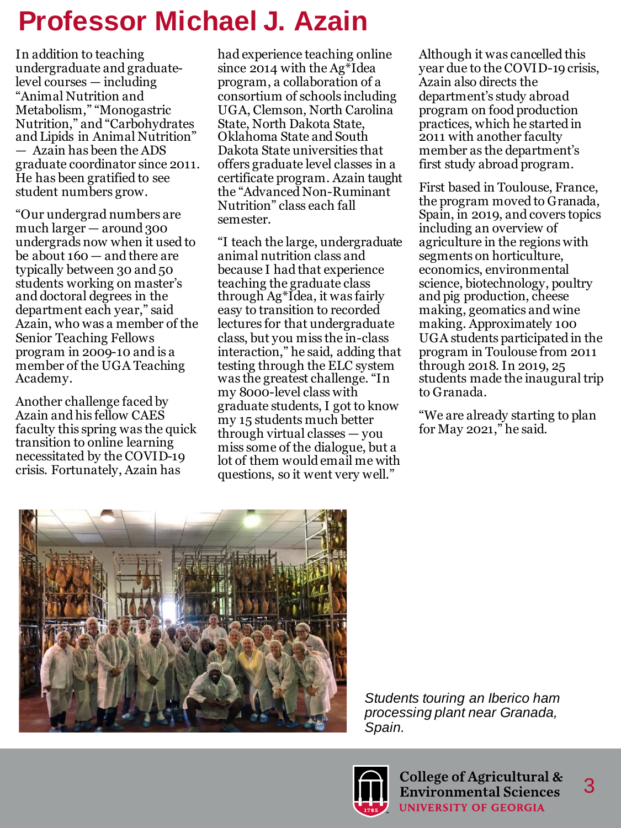### **Professor Michael J. Azain**

In addition to teaching undergraduate and graduatelevel courses — including "Animal Nutrition and Metabolism," "Monogastric Nutrition," and "Carbohydrates and Lipids in Animal Nutrition" — Azain has been the ADS graduate coordinator since 2011. He has been gratified to see student numbers grow.

"Our undergrad numbers are much larger — around 300 undergrads now when it used to be about 160 — and there are typically between 30 and 50 students working on master's and doctoral degrees in the department each year," said Azain, who was a member of the Senior Teaching Fellows program in 2009-10 and is a member of the UGA Teaching Academy.

Another challenge faced by Azain and his fellow CAES faculty this spring was the quick transition to online learning necessitated by the COVID-19 crisis. Fortunately, Azain has

had experience teaching online since 2014 with the Ag\*Idea program, a collaboration of a consortium of schools including UGA, Clemson, North Carolina State, North Dakota State, Oklahoma State and South Dakota State universities that offers graduate level classes in a certificate program. Azain taught the "Advanced Non-Ruminant Nutrition" class each fall semester.

"I teach the large, undergraduate animal nutrition class and because I had that experience teaching the graduate class through Ag\*Idea, it was fairly easy to transition to recorded lectures for that undergraduate class, but you miss the in-class interaction," he said, adding that testing through the ELC system was the greatest challenge. "In my 8000-level class with graduate students, I got to know my 15 students much better through virtual classes — you miss some of the dialogue, but a lot of them would email me with questions, so it went very well."

Although it was cancelled this year due to the COVID-19 crisis, Azain also directs the department's study abroad program on food production practices, which he started in 2011 with another faculty member as the department's first study abroad program.

First based in Toulouse, France, the program moved to Granada, Spain, in 2019, and covers topics including an overview of agriculture in the regions with segments on horticulture, economics, environmental science, biotechnology, poultry and pig production, cheese making, geomatics and wine making. Approximately 100 UGA students participated in the program in Toulouse from 2011 through 2018. In 2019, 25 students made the inaugural trip to Granada.

"We are already starting to plan for May 2021," he said.



*Students touring an Iberico ham processing plant near Granada, Spain.* 

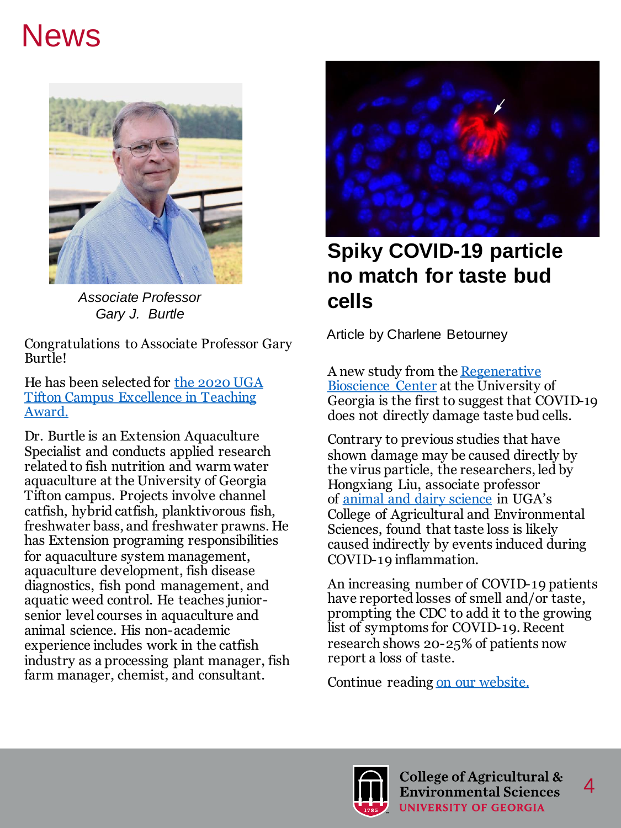

*Associate Professor Gary J. Burtle*

Congratulations to Associate Professor Gary Burtle!

[He has been selected for the 2020 UGA](https://tifton.caes.uga.edu/about/points-of-pride/awards-and-recognitions/archive/2020/winner-profiles.html)  Tifton Campus Excellence in Teaching Award.

Dr. Burtle is an Extension Aquaculture Specialist and conducts applied research related to fish nutrition and warm water aquaculture at the University of Georgia Tifton campus. Projects involve channel catfish, hybrid catfish, planktivorous fish, freshwater bass, and freshwater prawns. He has Extension programing responsibilities for aquaculture system management, aquaculture development, fish disease diagnostics, fish pond management, and aquatic weed control. He teaches juniorsenior level courses in aquaculture and animal science. His non-academic experience includes work in the catfish industry as a processing plant manager, fish farm manager, chemist, and consultant.



#### **Spiky COVID-19 particle no match for taste bud cells**

Article by Charlene Betourney

[A new study from the](https://rbc.uga.edu/) Regenerative Bioscience Center at the University of Georgia is the first to suggest that COVID-19 does not directly damage taste bud cells.

Contrary to previous studies that have shown damage may be caused directly by the virus particle, the researchers, led by Hongxiang Liu, associate professor of [animal and dairy science](https://ads.caes.uga.edu/) in UGA's College of Agricultural and Environmental Sciences, found that taste loss is likely caused indirectly by events induced during COVID-19 inflammation.

An increasing number of COVID-19 patients have reported losses of smell and/or taste, prompting the CDC to add it to the growing list of symptoms for COVID-19. Recent research shows 20-25% of patients now report a loss of taste.

Continue reading [on our website.](https://ads.caes.uga.edu/news/story.html?storyid=8438&story=COVID-19-Cell-Immunity) 

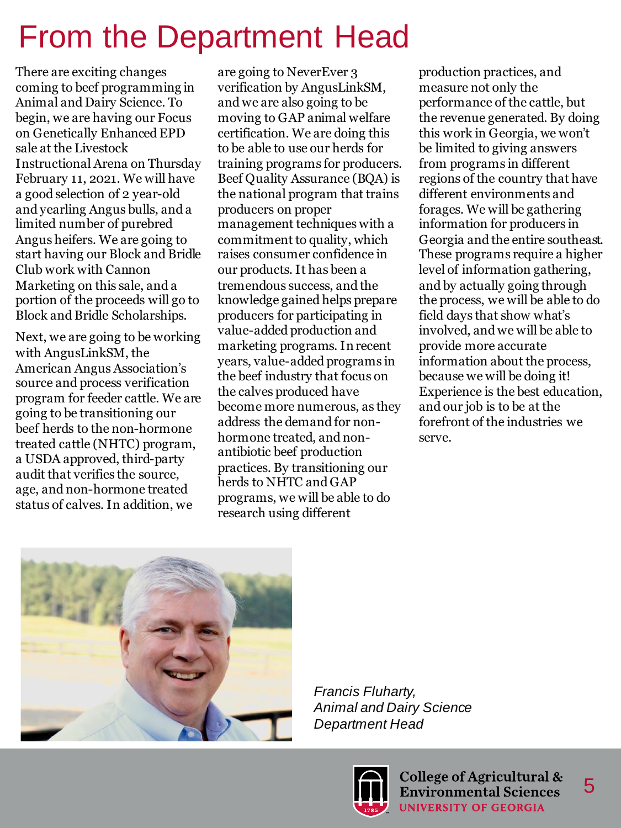# From the Department Head

There are exciting changes coming to beef programming in Animal and Dairy Science. To begin, we are having our Focus on Genetically Enhanced EPD sale at the Livestock Instructional Arena on Thursday February 11, 2021. We will have a good selection of 2 year-old and yearling Angus bulls, and a limited number of purebred Angus heifers. We are going to start having our Block and Bridle Club work with Cannon Marketing on this sale, and a portion of the proceeds will go to Block and Bridle Scholarships.

Next, we are going to be working with AngusLinkSM, the American Angus Association's source and process verification program for feeder cattle. We are going to be transitioning our beef herds to the non-hormone treated cattle (NHTC) program, a USDA approved, third-party audit that verifies the source, age, and non-hormone treated status of calves. In addition, we

are going to NeverEver 3 verification by AngusLinkSM, and we are also going to be moving to GAP animal welfare certification. We are doing this to be able to use our herds for training programs for producers. Beef Quality Assurance (BQA) is the national program that trains producers on proper management techniques with a commitment to quality, which raises consumer confidence in our products. It has been a tremendous success, and the knowledge gained helps prepare producers for participating in value-added production and marketing programs. In recent years, value-added programs in the beef industry that focus on the calves produced have become more numerous, as they address the demand for nonhormone treated, and nonantibiotic beef production practices. By transitioning our herds to NHTC and GAP programs, we will be able to do research using different

production practices, and measure not only the performance of the cattle, but the revenue generated. By doing this work in Georgia, we won't be limited to giving answers from programs in different regions of the country that have different environments and forages. We will be gathering information for producers in Georgia and the entire southeast. These programs require a higher level of information gathering, and by actually going through the process, we will be able to do field days that show what's involved, and we will be able to provide more accurate information about the process, because we will be doing it! Experience is the best education, and our job is to be at the forefront of the industries we serve.



*Francis Fluharty, Animal and Dairy Science Department Head*

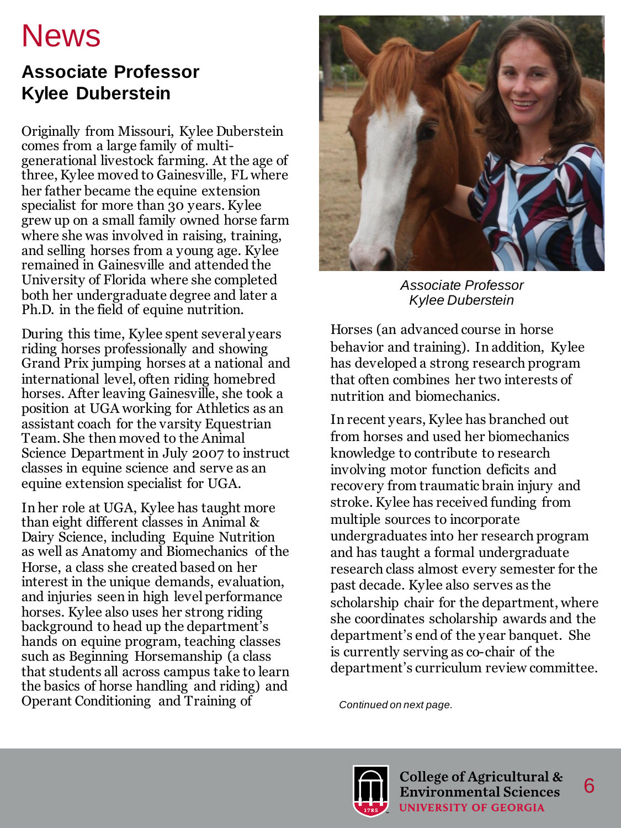#### **Associate Professor Kylee Duberstein**

Originally from Missouri, Kylee Duberstein comes from a large family of multigenerational livestock farming. At the age of three, Kylee moved to Gainesville, FL where her father became the equine extension specialist for more than 30 years. Kylee grew up on a small family owned horse farm where she was involved in raising, training, and selling horses from a young age. Kylee remained in Gainesville and attended the University of Florida where she completed both her undergraduate degree and later a Ph.D. in the field of equine nutrition.

During this time, Kylee spent several years riding horses professionally and showing Grand Prix jumping horses at a national and international level, often riding homebred horses. After leaving Gainesville, she took a position at UGA working for Athletics as an assistant coach for the varsity Equestrian Team. She then moved to the Animal Science Department in July 2007 to instruct classes in equine science and serve as an equine extension specialist for UGA.

In her role at UGA, Kylee has taught more than eight different classes in Animal & Dairy Science, including Equine Nutrition as well as Anatomy and Biomechanics of the Horse, a class she created based on her interest in the unique demands, evaluation, and injuries seen in high level performance horses. Kylee also uses her strong riding background to head up the department's hands on equine program, teaching classes such as Beginning Horsemanship (a class that students all across campus take to learn the basics of horse handling and riding) and Operant Conditioning and Training of *Continued on next page.*



*Associate Professor Kylee Duberstein*

Horses (an advanced course in horse behavior and training). In addition, Kylee has developed a strong research program that often combines her two interests of nutrition and biomechanics.

In recent years, Kylee has branched out from horses and used her biomechanics knowledge to contribute to research involving motor function deficits and recovery from traumatic brain injury and stroke. Kylee has received funding from multiple sources to incorporate undergraduates into her research program and has taught a formal undergraduate research class almost every semester for the past decade. Kylee also serves as the scholarship chair for the department, where she coordinates scholarship awards and the department's end of the year banquet. She is currently serving as co-chair of the department's curriculum review committee.

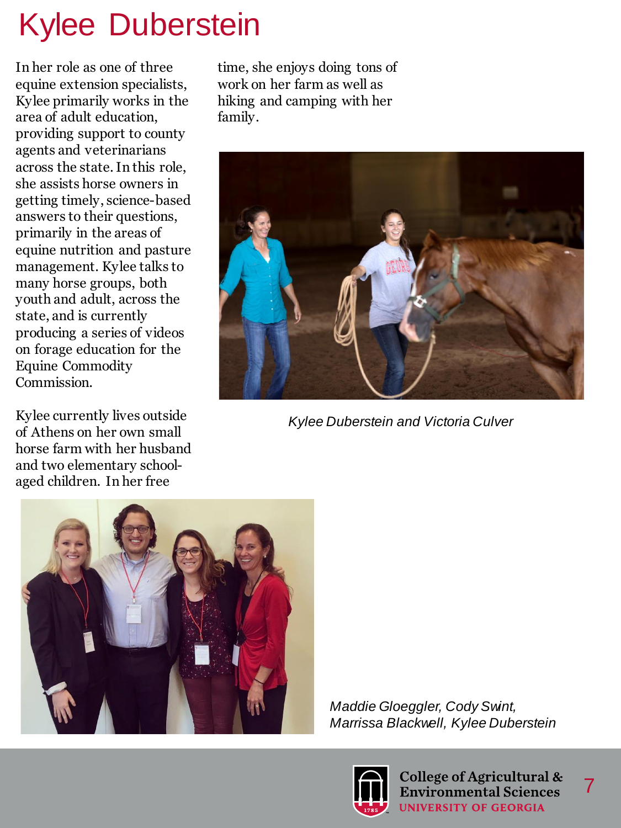# Kylee Duberstein

In her role as one of three equine extension specialists, Kylee primarily works in the area of adult education, providing support to county agents and veterinarians across the state. In this role, she assists horse owners in getting timely, science-based answers to their questions, primarily in the areas of equine nutrition and pasture management. Kylee talks to many horse groups, both youth and adult, across the state, and is currently producing a series of videos on forage education for the Equine Commodity Commission.

Kylee currently lives outside of Athens on her own small horse farm with her husband and two elementary schoolaged children. In her free

time, she enjoys doing tons of work on her farm as well as hiking and camping with her family.



*Kylee Duberstein and Victoria Culver*



*Maddie Gloeggler, Cody Swint, Marrissa Blackwell, Kylee Duberstein*



College of Agricultural & **Environmental Sciences UNIVERSITY OF GEORGIA**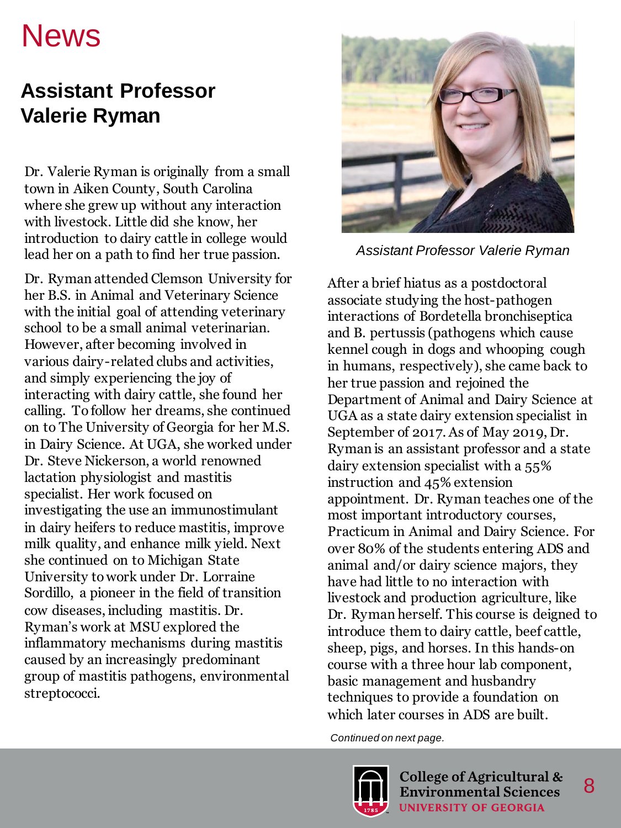#### **Assistant Professor Valerie Ryman**

Dr. Valerie Ryman is originally from a small town in Aiken County, South Carolina where she grew up without any interaction with livestock. Little did she know, her introduction to dairy cattle in college would lead her on a path to find her true passion.

Dr. Ryman attended Clemson University for her B.S. in Animal and Veterinary Science with the initial goal of attending veterinary school to be a small animal veterinarian. However, after becoming involved in various dairy-related clubs and activities, and simply experiencing the joy of interacting with dairy cattle, she found her calling. To follow her dreams, she continued on to The University of Georgia for her M.S. in Dairy Science. At UGA, she worked under Dr. Steve Nickerson, a world renowned lactation physiologist and mastitis specialist. Her work focused on investigating the use an immunostimulant in dairy heifers to reduce mastitis, improve milk quality, and enhance milk yield. Next she continued on to Michigan State University to work under Dr. Lorraine Sordillo, a pioneer in the field of transition cow diseases, including mastitis. Dr. Ryman's work at MSU explored the inflammatory mechanisms during mastitis caused by an increasingly predominant group of mastitis pathogens, environmental streptococci.



*Assistant Professor Valerie Ryman*

After a brief hiatus as a postdoctoral associate studying the host-pathogen interactions of Bordetella bronchiseptica and B. pertussis (pathogens which cause kennel cough in dogs and whooping cough in humans, respectively), she came back to her true passion and rejoined the Department of Animal and Dairy Science at UGA as a state dairy extension specialist in September of 2017. As of May 2019, Dr. Ryman is an assistant professor and a state dairy extension specialist with a 55% instruction and 45% extension appointment. Dr. Ryman teaches one of the most important introductory courses, Practicum in Animal and Dairy Science. For over 80% of the students entering ADS and animal and/or dairy science majors, they have had little to no interaction with livestock and production agriculture, like Dr. Ryman herself. This course is deigned to introduce them to dairy cattle, beef cattle, sheep, pigs, and horses. In this hands-on course with a three hour lab component, basic management and husbandry techniques to provide a foundation on which later courses in ADS are built.

*Continued on next page.* 

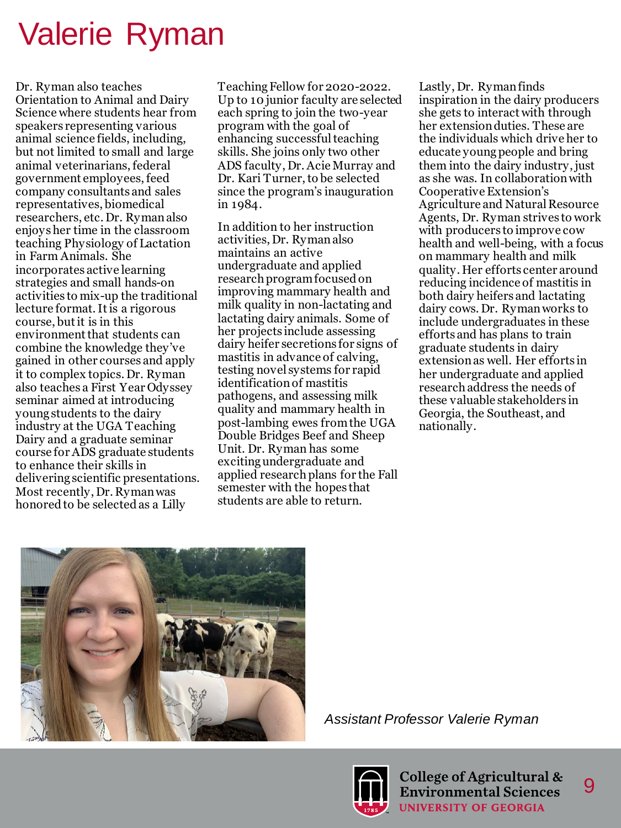### Valerie Ryman

Dr. Ryman also teaches Orientation to Animal and Dairy Science where students hear from speakers representing various animal science fields, including, but not limited to small and large animal veterinarians, federal government employees, feed company consultants and sales representatives, biomedical researchers, etc. Dr. Ryman also enjoys her time in the classroom teaching Physiology of Lactation in Farm Animals. She incorporates active learning strategies and small hands-on activities to mix-up the traditional lecture format. It is a rigorous course, but it is in this environment that students can combine the knowledge they've gained in other courses and apply it to complex topics. Dr. Ryman also teaches a First Year Odyssey seminar aimed at introducing young students to the dairy industry at the UGA Teaching Dairy and a graduate seminar course for ADS graduate students to enhance their skills in delivering scientific presentations. Most recently, Dr. Ryman was honored to be selected as a Lilly

Teaching Fellow for 2020-2022. Up to 10 junior faculty are selected each spring to join the two-year program with the goal of enhancing successful teaching skills. She joins only two other ADS faculty, Dr. Acie Murray and Dr. Kari Turner, to be selected since the program's inauguration in 1984.

In addition to her instruction activities, Dr. Ryman also maintains an active undergraduate and applied research program focused on improving mammary health and milk quality in non-lactating and lactating dairy animals. Some of her projects include assessing dairy heifer secretions for signs of mastitis in advance of calving, testing novel systems for rapid identification of mastitis pathogens, and assessing milk quality and mammary health in post-lambing ewes from the UGA Double Bridges Beef and Sheep Unit. Dr. Ryman has some exciting undergraduate and applied research plans for the Fall semester with the hopes that students are able to return.

Lastly, Dr. Ryman finds inspiration in the dairy producers she gets to interact with through her extension duties. These are the individuals which drive her to educate young people and bring them into the dairy industry, just as she was. In collaboration with Cooperative Extension's Agriculture and Natural Resource Agents, Dr. Ryman strives to work with producers to improve cow health and well-being, with a focus on mammary health and milk quality. Her efforts center around reducing incidence of mastitis in both dairy heifers and lactating dairy cows. Dr. Ryman works to include undergraduates in these efforts and has plans to train graduate students in dairy extension as well. Her efforts in her undergraduate and applied research address the needs of these valuable stakeholders in Georgia, the Southeast, and nationally.



*Assistant Professor Valerie Ryman*

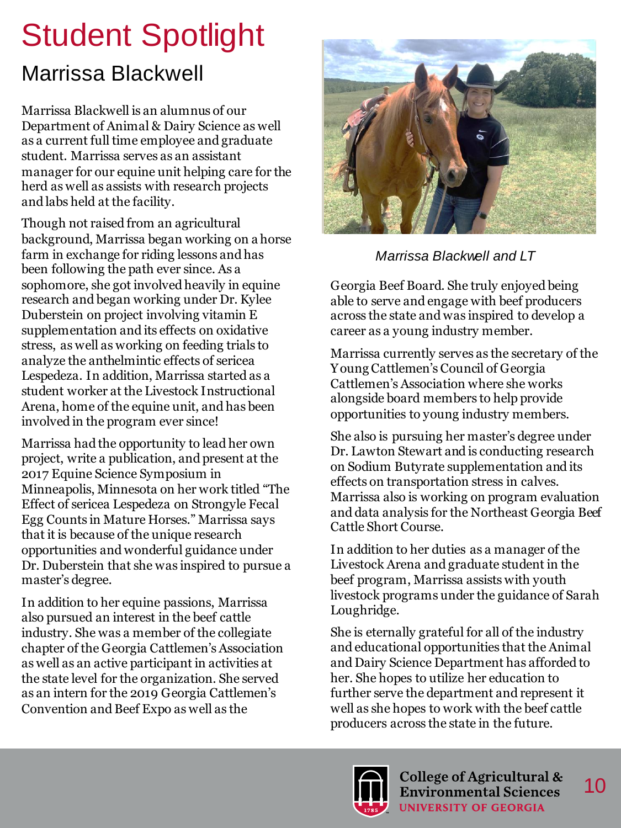# Student Spotlight

#### Marrissa Blackwell

Marrissa Blackwell is an alumnus of our Department of Animal & Dairy Science as well as a current full time employee and graduate student. Marrissa serves as an assistant manager for our equine unit helping care for the herd as well as assists with research projects and labs held at the facility.

Though not raised from an agricultural background, Marrissa began working on a horse farm in exchange for riding lessons and has been following the path ever since. As a sophomore, she got involved heavily in equine research and began working under Dr. Kylee Duberstein on project involving vitamin E supplementation and its effects on oxidative stress, as well as working on feeding trials to analyze the anthelmintic effects of sericea Lespedeza. In addition, Marrissa started as a student worker at the Livestock Instructional Arena, home of the equine unit, and has been involved in the program ever since!

Marrissa had the opportunity to lead her own project, write a publication, and present at the 2017 Equine Science Symposium in Minneapolis, Minnesota on her work titled "The Effect of sericea Lespedeza on Strongyle Fecal Egg Counts in Mature Horses." Marrissa says that it is because of the unique research opportunities and wonderful guidance under Dr. Duberstein that she was inspired to pursue a master's degree.

In addition to her equine passions, Marrissa also pursued an interest in the beef cattle industry. She was a member of the collegiate chapter of the Georgia Cattlemen's Association as well as an active participant in activities at the state level for the organization. She served as an intern for the 2019 Georgia Cattlemen's Convention and Beef Expo as well as the



*Marrissa Blackwell and LT*

Georgia Beef Board. She truly enjoyed being able to serve and engage with beef producers across the state and was inspired to develop a career as a young industry member.

Marrissa currently serves as the secretary of the Young Cattlemen's Council of Georgia Cattlemen's Association where she works alongside board members to help provide opportunities to young industry members.

She also is pursuing her master's degree under Dr. Lawton Stewart and is conducting research on Sodium Butyrate supplementation and its effects on transportation stress in calves. Marrissa also is working on program evaluation and data analysis for the Northeast Georgia Beef Cattle Short Course.

In addition to her duties as a manager of the Livestock Arena and graduate student in the beef program, Marrissa assists with youth livestock programs under the guidance of Sarah Loughridge.

She is eternally grateful for all of the industry and educational opportunities that the Animal and Dairy Science Department has afforded to her. She hopes to utilize her education to further serve the department and represent it well as she hopes to work with the beef cattle producers across the state in the future.